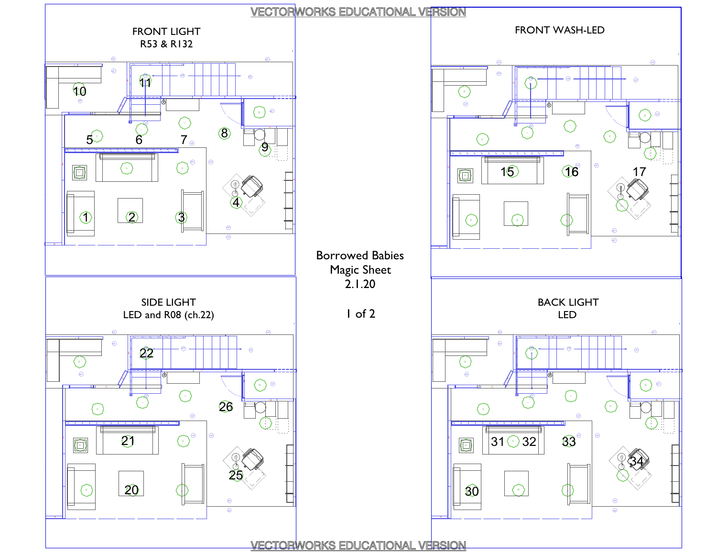